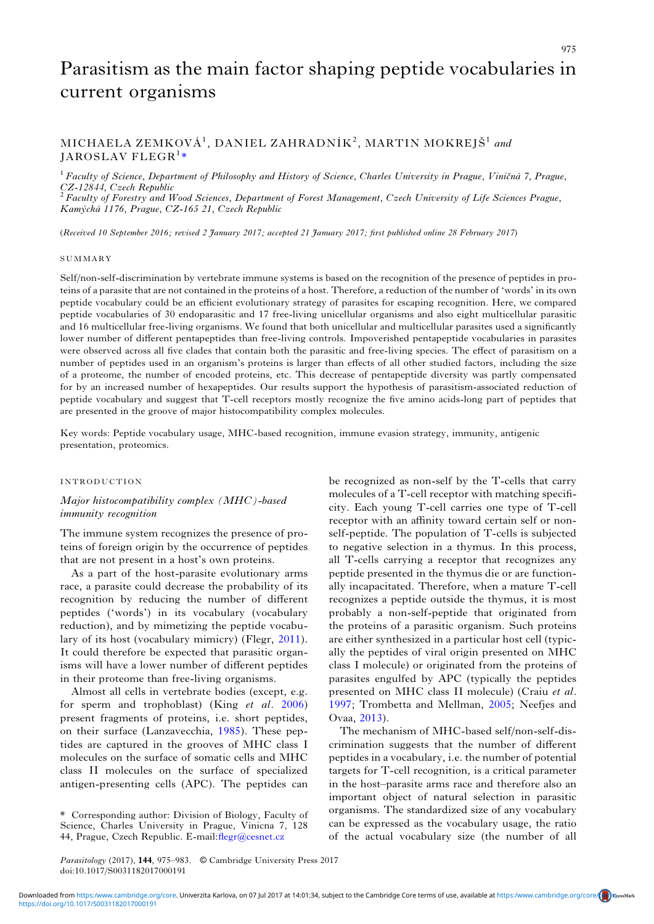# Parasitism as the main factor shaping peptide vocabularies in current organisms

## MICHAELA ZEMKOVÁ<sup>1</sup>, DANIEL ZAHRADNÍK<sup>2</sup>, MARTIN MOKREJŠ<sup>1</sup> and  $\rm JAROSLAV\ FLEGR^1*$

 $1$  Faculty of Science, Department of Philosophy and History of Science, Charles University in Prague, Viničná 7, Prague, CZ-12844, Czech Republic<br><sup>2</sup> Faculty of Forestry and Wood Sciences, Department of Forest Management, Czech University of Life Sciences Prague,

Kamýcká 1176, Prague, CZ-165 21, Czech Republic

(Received 10 September 2016; revised 2 January 2017; accepted 21 January 2017; first published online 28 February 2017)

#### SUMMARY

Self/non-self-discrimination by vertebrate immune systems is based on the recognition of the presence of peptides in proteins of a parasite that are not contained in the proteins of a host. Therefore, a reduction of the number of 'words' in its own peptide vocabulary could be an efficient evolutionary strategy of parasites for escaping recognition. Here, we compared peptide vocabularies of 30 endoparasitic and 17 free-living unicellular organisms and also eight multicellular parasitic and 16 multicellular free-living organisms. We found that both unicellular and multicellular parasites used a significantly lower number of different pentapeptides than free-living controls. Impoverished pentapeptide vocabularies in parasites were observed across all five clades that contain both the parasitic and free-living species. The effect of parasitism on a number of peptides used in an organism's proteins is larger than effects of all other studied factors, including the size of a proteome, the number of encoded proteins, etc. This decrease of pentapeptide diversity was partly compensated for by an increased number of hexapeptides. Our results support the hypothesis of parasitism-associated reduction of peptide vocabulary and suggest that T-cell receptors mostly recognize the five amino acids-long part of peptides that are presented in the groove of major histocompatibility complex molecules.

Key words: Peptide vocabulary usage, MHC-based recognition, immune evasion strategy, immunity, antigenic presentation, proteomics.

### INTRODUCTION

## Major histocompatibility complex (MHC)-based immunity recognition

The immune system recognizes the presence of proteins of foreign origin by the occurrence of peptides that are not present in a host's own proteins.

As a part of the host-parasite evolutionary arms race, a parasite could decrease the probability of its recognition by reducing the number of different peptides ('words') in its vocabulary (vocabulary reduction), and by mimetizing the peptide vocabulary of its host (vocabulary mimicry) (Flegr, [2011\)](#page-7-0). It could therefore be expected that parasitic organisms will have a lower number of different peptides in their proteome than free-living organisms.

Almost all cells in vertebrate bodies (except, e.g. for sperm and trophoblast) (King et al. [2006\)](#page-7-0) present fragments of proteins, i.e. short peptides, on their surface (Lanzavecchia, [1985](#page-7-0)). These peptides are captured in the grooves of MHC class I molecules on the surface of somatic cells and MHC class II molecules on the surface of specialized antigen-presenting cells (APC). The peptides can

be recognized as non-self by the T-cells that carry molecules of a T-cell receptor with matching specificity. Each young T-cell carries one type of T-cell receptor with an affinity toward certain self or nonself-peptide. The population of T-cells is subjected to negative selection in a thymus. In this process, all T-cells carrying a receptor that recognizes any peptide presented in the thymus die or are functionally incapacitated. Therefore, when a mature T-cell recognizes a peptide outside the thymus, it is most probably a non-self-peptide that originated from the proteins of a parasitic organism. Such proteins are either synthesized in a particular host cell (typically the peptides of viral origin presented on MHC class I molecule) or originated from the proteins of parasites engulfed by APC (typically the peptides presented on MHC class II molecule) (Craiu et al. [1997](#page-7-0); Trombetta and Mellman, [2005;](#page-8-0) Neefjes and Ovaa, [2013](#page-7-0)).

The mechanism of MHC-based self/non-self-discrimination suggests that the number of different peptides in a vocabulary, i.e. the number of potential targets for T-cell recognition, is a critical parameter in the host–parasite arms race and therefore also an important object of natural selection in parasitic organisms. The standardized size of any vocabulary can be expressed as the vocabulary usage, the ratio of the actual vocabulary size (the number of all

<sup>\*</sup> Corresponding author: Division of Biology, Faculty of Science, Charles University in Prague, Vinicna 7, 128 44, Prague, Czech Republic. E-mail: fl[egr@cesnet.cz](mailto:flegr@cesnet.cz)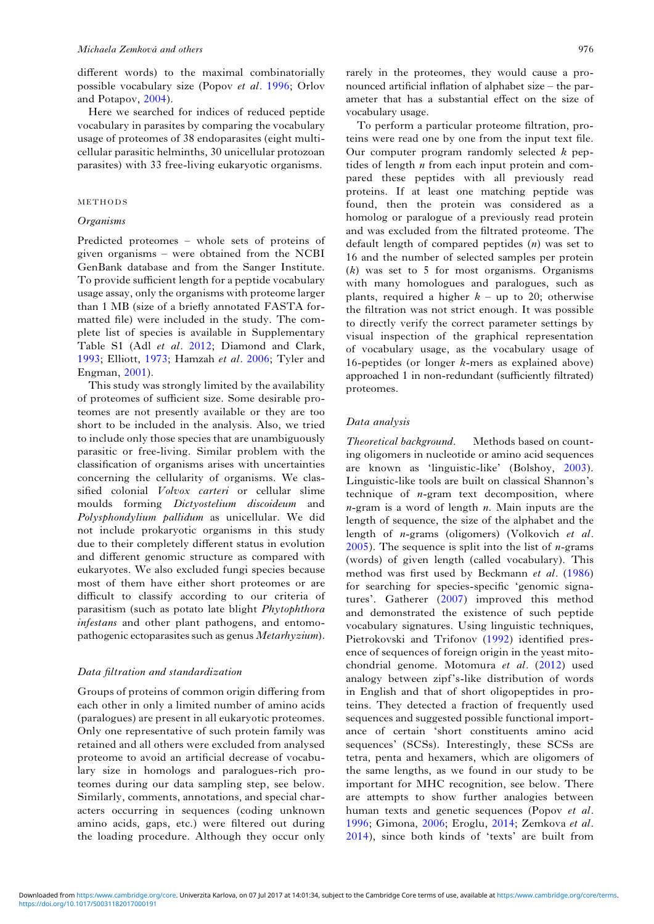different words) to the maximal combinatorially possible vocabulary size (Popov et al. [1996;](#page-8-0) Orlov and Potapov, [2004\)](#page-7-0).

Here we searched for indices of reduced peptide vocabulary in parasites by comparing the vocabulary usage of proteomes of 38 endoparasites (eight multicellular parasitic helminths, 30 unicellular protozoan parasites) with 33 free-living eukaryotic organisms.

### METHODS

#### **Organisms**

Predicted proteomes – whole sets of proteins of given organisms – were obtained from the NCBI GenBank database and from the Sanger Institute. To provide sufficient length for a peptide vocabulary usage assay, only the organisms with proteome larger than 1 MB (size of a briefly annotated FASTA formatted file) were included in the study. The complete list of species is available in Supplementary Table S1 (Adl et al. [2012;](#page-7-0) Diamond and Clark, [1993](#page-7-0); Elliott, [1973;](#page-7-0) Hamzah et al. [2006](#page-7-0); Tyler and Engman, [2001\)](#page-8-0).

This study was strongly limited by the availability of proteomes of sufficient size. Some desirable proteomes are not presently available or they are too short to be included in the analysis. Also, we tried to include only those species that are unambiguously parasitic or free-living. Similar problem with the classification of organisms arises with uncertainties concerning the cellularity of organisms. We classified colonial Volvox carteri or cellular slime moulds forming Dictyostelium discoideum and Polysphondylium pallidum as unicellular. We did not include prokaryotic organisms in this study due to their completely different status in evolution and different genomic structure as compared with eukaryotes. We also excluded fungi species because most of them have either short proteomes or are difficult to classify according to our criteria of parasitism (such as potato late blight Phytophthora infestans and other plant pathogens, and entomopathogenic ectoparasites such as genus Metarhyzium).

#### Data filtration and standardization

Groups of proteins of common origin differing from each other in only a limited number of amino acids (paralogues) are present in all eukaryotic proteomes. Only one representative of such protein family was retained and all others were excluded from analysed proteome to avoid an artificial decrease of vocabulary size in homologs and paralogues-rich proteomes during our data sampling step, see below. Similarly, comments, annotations, and special characters occurring in sequences (coding unknown amino acids, gaps, etc.) were filtered out during the loading procedure. Although they occur only

rarely in the proteomes, they would cause a pronounced artificial inflation of alphabet size – the parameter that has a substantial effect on the size of vocabulary usage.

To perform a particular proteome filtration, proteins were read one by one from the input text file. Our computer program randomly selected  $k$  peptides of length  $n$  from each input protein and compared these peptides with all previously read proteins. If at least one matching peptide was found, then the protein was considered as a homolog or paralogue of a previously read protein and was excluded from the filtrated proteome. The default length of compared peptides  $(n)$  was set to 16 and the number of selected samples per protein (k) was set to 5 for most organisms. Organisms with many homologues and paralogues, such as plants, required a higher  $k - \text{up}$  to 20; otherwise the filtration was not strict enough. It was possible to directly verify the correct parameter settings by visual inspection of the graphical representation of vocabulary usage, as the vocabulary usage of 16-peptides (or longer k-mers as explained above) approached 1 in non-redundant (sufficiently filtrated) proteomes.

#### Data analysis

Theoretical background. Methods based on counting oligomers in nucleotide or amino acid sequences are known as 'linguistic-like' (Bolshoy, [2003](#page-7-0)). Linguistic-like tools are built on classical Shannon's technique of  $n$ -gram text decomposition, where  $n$ -gram is a word of length  $n$ . Main inputs are the length of sequence, the size of the alphabet and the length of n-grams (oligomers) (Volkovich et al.  $2005$ ). The sequence is split into the list of *n*-grams (words) of given length (called vocabulary). This method was first used by Beckmann et al. [\(1986](#page-7-0)) for searching for species-specific 'genomic signatures'. Gatherer [\(2007](#page-7-0)) improved this method and demonstrated the existence of such peptide vocabulary signatures. Using linguistic techniques, Pietrokovski and Trifonov ([1992\)](#page-8-0) identified presence of sequences of foreign origin in the yeast mito-chondrial genome. Motomura et al. ([2012](#page-7-0)) used analogy between zipf's-like distribution of words in English and that of short oligopeptides in proteins. They detected a fraction of frequently used sequences and suggested possible functional importance of certain 'short constituents amino acid sequences' (SCSs). Interestingly, these SCSs are tetra, penta and hexamers, which are oligomers of the same lengths, as we found in our study to be important for MHC recognition, see below. There are attempts to show further analogies between human texts and genetic sequences (Popov et al. [1996;](#page-8-0) Gimona, [2006](#page-7-0); Eroglu, [2014;](#page-7-0) Zemkova et al. [2014\)](#page-8-0), since both kinds of 'texts' are built from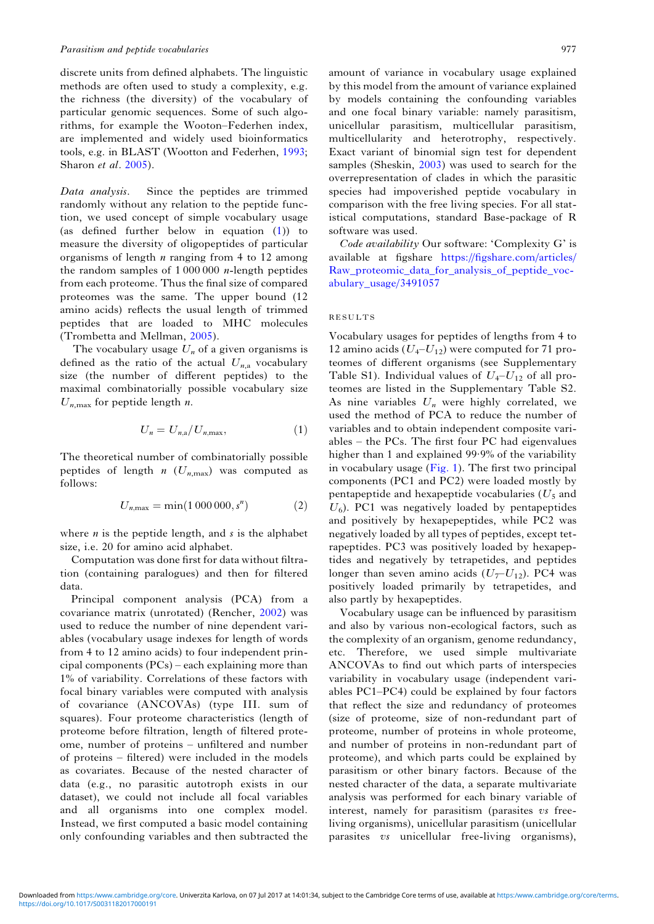discrete units from defined alphabets. The linguistic methods are often used to study a complexity, e.g. the richness (the diversity) of the vocabulary of particular genomic sequences. Some of such algorithms, for example the Wooton–Federhen index, are implemented and widely used bioinformatics tools, e.g. in BLAST (Wootton and Federhen, [1993](#page-8-0); Sharon et al. [2005](#page-8-0)).

Data analysis. Since the peptides are trimmed randomly without any relation to the peptide function, we used concept of simple vocabulary usage (as defined further below in equation (1)) to measure the diversity of oligopeptides of particular organisms of length  $n$  ranging from 4 to 12 among the random samples of  $1000000$  *n*-length peptides from each proteome. Thus the final size of compared proteomes was the same. The upper bound (12 amino acids) reflects the usual length of trimmed peptides that are loaded to MHC molecules (Trombetta and Mellman, [2005\)](#page-8-0).

The vocabulary usage  $U_n$  of a given organisms is defined as the ratio of the actual  $U_{n,a}$  vocabulary size (the number of different peptides) to the maximal combinatorially possible vocabulary size  $U_{n,\text{max}}$  for peptide length n.

$$
U_n = U_{n,a}/U_{n,\text{max}},\tag{1}
$$

The theoretical number of combinatorially possible peptides of length  $n$  ( $U_{n,\text{max}}$ ) was computed as follows:

$$
U_{n,\max} = \min(1\,000\,000, s^n) \tag{2}
$$

where  $n$  is the peptide length, and  $s$  is the alphabet size, i.e. 20 for amino acid alphabet.

Computation was done first for data without filtration (containing paralogues) and then for filtered data.

Principal component analysis (PCA) from a covariance matrix (unrotated) (Rencher, [2002](#page-8-0)) was used to reduce the number of nine dependent variables (vocabulary usage indexes for length of words from 4 to 12 amino acids) to four independent principal components (PCs) – each explaining more than 1% of variability. Correlations of these factors with focal binary variables were computed with analysis of covariance (ANCOVAs) (type III. sum of squares). Four proteome characteristics (length of proteome before filtration, length of filtered proteome, number of proteins – unfiltered and number of proteins – filtered) were included in the models as covariates. Because of the nested character of data (e.g., no parasitic autotroph exists in our dataset), we could not include all focal variables and all organisms into one complex model. Instead, we first computed a basic model containing only confounding variables and then subtracted the

amount of variance in vocabulary usage explained by this model from the amount of variance explained by models containing the confounding variables and one focal binary variable: namely parasitism, unicellular parasitism, multicellular parasitism, multicellularity and heterotrophy, respectively. Exact variant of binomial sign test for dependent samples (Sheskin, [2003](#page-8-0)) was used to search for the overrepresentation of clades in which the parasitic species had impoverished peptide vocabulary in comparison with the free living species. For all statistical computations, standard Base-package of R software was used.

Code availability Our software: 'Complexity G' is available at figshare [https:/](https://figshare.com/articles/Raw_proteomic_data_for_analysis_of_peptide_vocabulary_usage/3491057)/fi[gshare.com/articles/](https://figshare.com/articles/Raw_proteomic_data_for_analysis_of_peptide_vocabulary_usage/3491057) [Raw\\_proteomic\\_data\\_for\\_analysis\\_of\\_peptide\\_voc](https://figshare.com/articles/Raw_proteomic_data_for_analysis_of_peptide_vocabulary_usage/3491057)[abulary\\_usage/3491057](https://figshare.com/articles/Raw_proteomic_data_for_analysis_of_peptide_vocabulary_usage/3491057)

## RESULTS

Vocabulary usages for peptides of lengths from 4 to 12 amino acids  $(U_4-U_{12})$  were computed for 71 proteomes of different organisms (see Supplementary Table S1). Individual values of  $U_4-U_{12}$  of all proteomes are listed in the Supplementary Table S2. As nine variables  $U_n$  were highly correlated, we used the method of PCA to reduce the number of variables and to obtain independent composite variables – the PCs. The first four PC had eigenvalues higher than 1 and explained 99·9% of the variability in vocabulary usage [\(Fig. 1](#page-3-0)). The first two principal components (PC1 and PC2) were loaded mostly by pentapeptide and hexapeptide vocabularies ( $U_5$  and  $U_6$ ). PC1 was negatively loaded by pentapeptides and positively by hexapepeptides, while PC2 was negatively loaded by all types of peptides, except tetrapeptides. PC3 was positively loaded by hexapeptides and negatively by tetrapetides, and peptides longer than seven amino acids  $(U_7-U_{12})$ . PC4 was positively loaded primarily by tetrapetides, and also partly by hexapeptides.

Vocabulary usage can be influenced by parasitism and also by various non-ecological factors, such as the complexity of an organism, genome redundancy, etc. Therefore, we used simple multivariate ANCOVAs to find out which parts of interspecies variability in vocabulary usage (independent variables PC1–PC4) could be explained by four factors that reflect the size and redundancy of proteomes (size of proteome, size of non-redundant part of proteome, number of proteins in whole proteome, and number of proteins in non-redundant part of proteome), and which parts could be explained by parasitism or other binary factors. Because of the nested character of the data, a separate multivariate analysis was performed for each binary variable of interest, namely for parasitism (parasites vs freeliving organisms), unicellular parasitism (unicellular parasites vs unicellular free-living organisms),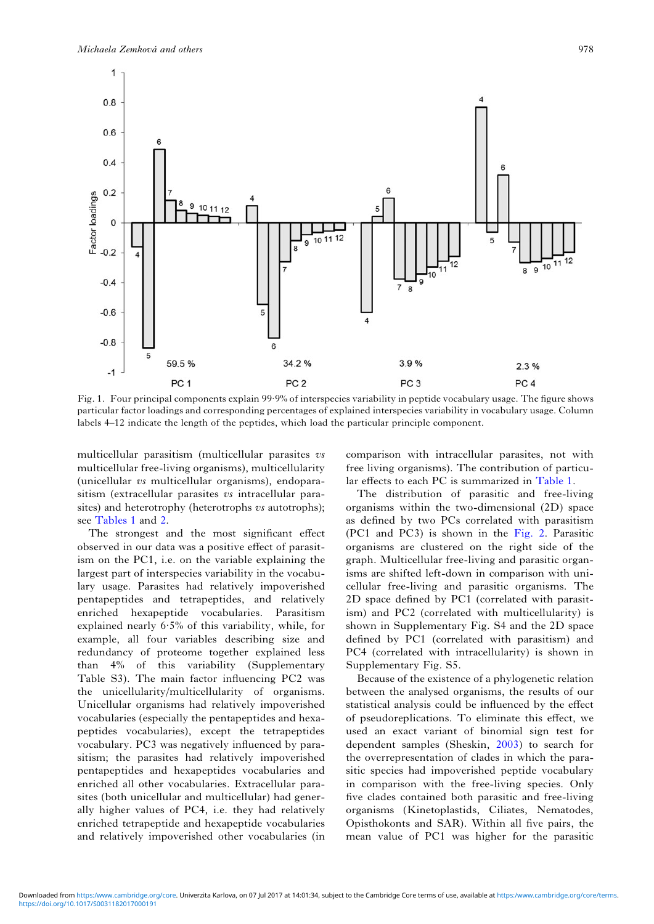<span id="page-3-0"></span>

Fig. 1. Four principal components explain 99·9% of interspecies variability in peptide vocabulary usage. The figure shows particular factor loadings and corresponding percentages of explained interspecies variability in vocabulary usage. Column labels 4–12 indicate the length of the peptides, which load the particular principle component.

multicellular parasitism (multicellular parasites vs multicellular free-living organisms), multicellularity (unicellular vs multicellular organisms), endoparasitism (extracellular parasites vs intracellular parasites) and heterotrophy (heterotrophs vs autotrophs); see [Tables 1](#page-4-0) and [2](#page-5-0).

The strongest and the most significant effect observed in our data was a positive effect of parasitism on the PC1, i.e. on the variable explaining the largest part of interspecies variability in the vocabulary usage. Parasites had relatively impoverished pentapeptides and tetrapeptides, and relatively enriched hexapeptide vocabularies. Parasitism explained nearly 6·5% of this variability, while, for example, all four variables describing size and redundancy of proteome together explained less than 4% of this variability (Supplementary Table S3). The main factor influencing PC2 was the unicellularity/multicellularity of organisms. Unicellular organisms had relatively impoverished vocabularies (especially the pentapeptides and hexapeptides vocabularies), except the tetrapeptides vocabulary. PC3 was negatively influenced by parasitism; the parasites had relatively impoverished pentapeptides and hexapeptides vocabularies and enriched all other vocabularies. Extracellular parasites (both unicellular and multicellular) had generally higher values of PC4, i.e. they had relatively enriched tetrapeptide and hexapeptide vocabularies and relatively impoverished other vocabularies (in

comparison with intracellular parasites, not with free living organisms). The contribution of particular effects to each PC is summarized in [Table 1](#page-4-0).

The distribution of parasitic and free-living organisms within the two-dimensional (2D) space as defined by two PCs correlated with parasitism (PC1 and PC3) is shown in the [Fig. 2.](#page-5-0) Parasitic organisms are clustered on the right side of the graph. Multicellular free-living and parasitic organisms are shifted left-down in comparison with unicellular free-living and parasitic organisms. The 2D space defined by PC1 (correlated with parasitism) and PC2 (correlated with multicellularity) is shown in Supplementary Fig. S4 and the 2D space defined by PC1 (correlated with parasitism) and PC4 (correlated with intracellularity) is shown in Supplementary Fig. S5.

Because of the existence of a phylogenetic relation between the analysed organisms, the results of our statistical analysis could be influenced by the effect of pseudoreplications. To eliminate this effect, we used an exact variant of binomial sign test for dependent samples (Sheskin, [2003](#page-8-0)) to search for the overrepresentation of clades in which the parasitic species had impoverished peptide vocabulary in comparison with the free-living species. Only five clades contained both parasitic and free-living organisms (Kinetoplastids, Ciliates, Nematodes, Opisthokonts and SAR). Within all five pairs, the mean value of PC1 was higher for the parasitic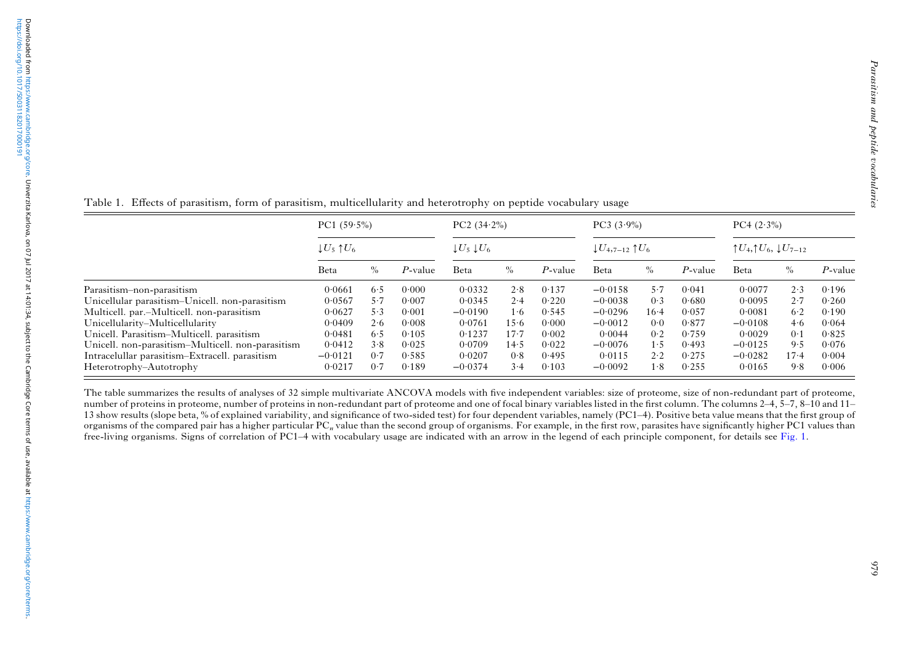|                                                   |                                                |      |            |                                 | $\mathbf{1}$ |         | $\overline{\phantom{a}}$        |             |         |                                                   |          |            |
|---------------------------------------------------|------------------------------------------------|------|------------|---------------------------------|--------------|---------|---------------------------------|-------------|---------|---------------------------------------------------|----------|------------|
|                                                   | PC1 $(59.5\%)$<br>$\downarrow U_5\uparrow U_6$ |      |            | PC2 (34.2%)                     |              |         | $PC3 (3.9\%)$                   |             |         | $PC4 (2.3\%)$                                     |          |            |
|                                                   |                                                |      |            | $\downarrow U_5 \downarrow U_6$ |              |         | $\downarrow U_{4,7-12}$ 1 $U_6$ |             |         | $\uparrow U_4, \uparrow U_6, \downarrow U_{7-12}$ |          |            |
|                                                   | Beta                                           | $\%$ | $P$ -value | Beta                            | $\%$         | P-value | Beta                            | $\%$        | P-value | Beta                                              | $\%$     | $P$ -value |
| Parasitism-non-parasitism                         | 0.0661                                         | 6.5  | 0.000      | 0.0332                          | 2.8          | 0.137   | $-0.0158$                       | 5.7         | 0.041   | 0.0077                                            | 2.3      | 0.196      |
| Unicellular parasitism-Unicell, non-parasitism    | 0.0567                                         | 5.7  | 0.007      | 0.0345                          | 2.4          | 0.220   | $-0.0038$                       | 0.3         | 0.680   | 0.0095                                            | 2.7      | 0.260      |
| Multicell. par.-Multicell. non-parasitism         | 0.0627                                         | 5.3  | 0.001      | $-0.0190$                       | 1.6          | 0.545   | $-0.0296$                       | $16 - 4$    | 0.057   | 0.0081                                            | 6.2      | 0.190      |
| Unicellularity-Multicellularity                   | 0.0409                                         | 2.6  | 0.008      | 0.0761                          | 15.6         | 0.000   | $-0.0012$                       | 0.0         | 0.877   | $-0.0108$                                         | 4.6      | 0.064      |
| Unicell. Parasitism-Multicell. parasitism         | 0.0481                                         | 6.5  | 0.105      | 0.1237                          | $17-7$       | 0.002   | 0.0044                          | 0.2         | 0.759   | 0.0029                                            | 0.1      | 0.825      |
| Unicell. non-parasitism-Multicell. non-parasitism | 0.0412                                         | 3.8  | 0.025      | 0.0709                          | 14.5         | 0.022   | $-0.0076$                       | 1·5         | 0.493   | $-0.0125$                                         | 9.5      | 0.076      |
| Intracelullar parasitism-Extracell. parasitism    | $-0.0121$                                      | 0.7  | 0.585      | 0.0207                          | 0.8          | 0.495   | 0.0115                          | $2 \cdot 2$ | 0.275   | $-0.0282$                                         | $17 - 4$ | 0.004      |
| Heterotrophy-Autotrophy                           | 0.0217                                         | 0.7  | 0.189      | $-0.0374$                       | 3.4          | 0.103   | $-0.0092$                       | 1.8         | 0.255   | 0.0165                                            | 9.8      | 0.006      |

<span id="page-4-0"></span>Table 1. E ffects of parasitism, form of parasitism, multicellularity and heterotrophy on peptide vocabulary usage

The table summarizes the results of analyses of 32 simple multivariate ANCOVA models with five independent variables: size of proteome, size of non-redundant part of proteome, number of proteins in proteome, number of proteins in non-redundant part of proteome and one of focal binary variables listed in the first column. The columns 2–4, 5–7, 8–10 and 11– 13 show results (slope beta, % of explained variability, and signi ficance of two-sided test) for four dependent variables, namely (PC1 –4). Positive beta value means that the first group of organisms of the compared pair has a higher particular PC<sub>n</sub> value than the second group of organisms. For example, in the first row, parasites have significantly higher PC1 values than free-living organisms. Signs of correlation of PC1–4 with vocabulary usage are indicated with an arrow in the legend of each principle component, for details see [Fig.](#page-3-0) 1.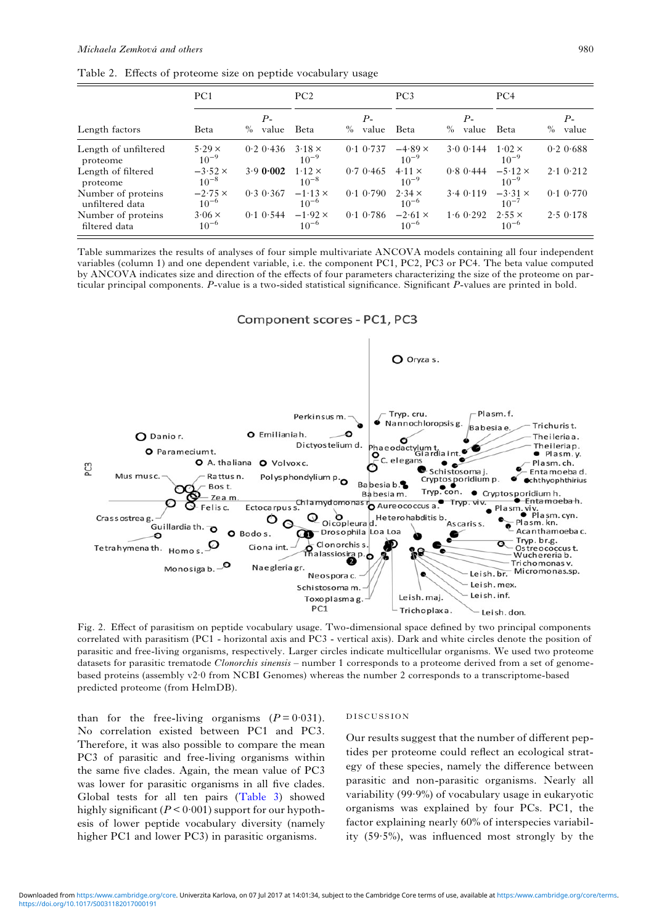<span id="page-5-0"></span>

|  |  |  | Table 2. Effects of proteome size on peptide vocabulary usage |  |
|--|--|--|---------------------------------------------------------------|--|
|  |  |  |                                                               |  |

|                                       | PC <sub>1</sub>             |                     | PC2                         |                       | PC <sub>3</sub>             |                          | PC <sub>4</sub>             |                       |
|---------------------------------------|-----------------------------|---------------------|-----------------------------|-----------------------|-----------------------------|--------------------------|-----------------------------|-----------------------|
| Length factors                        | Beta                        | Р-<br>$\%$<br>value | Beta                        | $P-$<br>$\%$<br>value | Beta                        | $P_{-}$<br>$\%$<br>value | <b>B</b> eta                | $P-$<br>$\%$<br>value |
| Length of unfiltered<br>proteome      | $5.29 \times$<br>$10^{-9}$  | $0.2$ 0.436         | $3.18 \times$<br>$10^{-9}$  | $0.1$ $0.737$         | $-4.89 \times$<br>$10^{-9}$ | 3.00144                  | $1.02 \times$<br>$10^{-9}$  | 0.20.688              |
| Length of filtered<br>proteome        | $-3.52 \times$<br>$10^{-8}$ | 3.90002             | $1.12 \times$<br>$10^{-8}$  | 0.70.465              | $4.11 \times$<br>$10^{-9}$  | $0.8$ 0.444              | $-5.12 \times$<br>$10^{-9}$ | $2 \cdot 1$ 0.212     |
| Number of proteins<br>unfiltered data | $-2.75 \times$<br>$10^{-6}$ | $0.3 \, 0.367$      | $-1.13 \times$<br>$10^{-6}$ | $0.1$ $0.790$         | $2.34 \times$<br>$10^{-6}$  | 3.40.119                 | $-3.31 \times$<br>$10^{-7}$ | $0.1$ $0.770$         |
| Number of proteins<br>filtered data   | $3.06 \times$<br>$10^{-6}$  | $0.1$ $0.544$       | $-1.92 \times$<br>$10^{-6}$ | $0.1$ $0.786$         | $-2.61 \times$<br>$10^{-6}$ | 1.60.292                 | $2.55 \times$<br>$10^{-6}$  | 2.50.178              |

Table summarizes the results of analyses of four simple multivariate ANCOVA models containing all four independent variables (column 1) and one dependent variable, i.e. the component PC1, PC2, PC3 or PC4. The beta value computed by ANCOVA indicates size and direction of the effects of four parameters characterizing the size of the proteome on particular principal components. P-value is a two-sided statistical significance. Significant P-values are printed in bold.

Component scores - PC1, PC3



Fig. 2. Effect of parasitism on peptide vocabulary usage. Two-dimensional space defined by two principal components correlated with parasitism (PC1 - horizontal axis and PC3 - vertical axis). Dark and white circles denote the position of parasitic and free-living organisms, respectively. Larger circles indicate multicellular organisms. We used two proteome datasets for parasitic trematode Clonorchis sinensis - number 1 corresponds to a proteome derived from a set of genomebased proteins (assembly v2·0 from NCBI Genomes) whereas the number 2 corresponds to a transcriptome-based predicted proteome (from HelmDB).

than for the free-living organisms  $(P = 0.031)$ . No correlation existed between PC1 and PC3. Therefore, it was also possible to compare the mean PC3 of parasitic and free-living organisms within the same five clades. Again, the mean value of PC3 was lower for parasitic organisms in all five clades. Global tests for all ten pairs [\(Table 3\)](#page-6-0) showed highly significant ( $P < 0.001$ ) support for our hypothesis of lower peptide vocabulary diversity (namely higher PC1 and lower PC3) in parasitic organisms.

#### DISCUSSION

Our results suggest that the number of different peptides per proteome could reflect an ecological strategy of these species, namely the difference between parasitic and non-parasitic organisms. Nearly all variability (99·9%) of vocabulary usage in eukaryotic organisms was explained by four PCs. PC1, the factor explaining nearly 60% of interspecies variability (59·5%), was influenced most strongly by the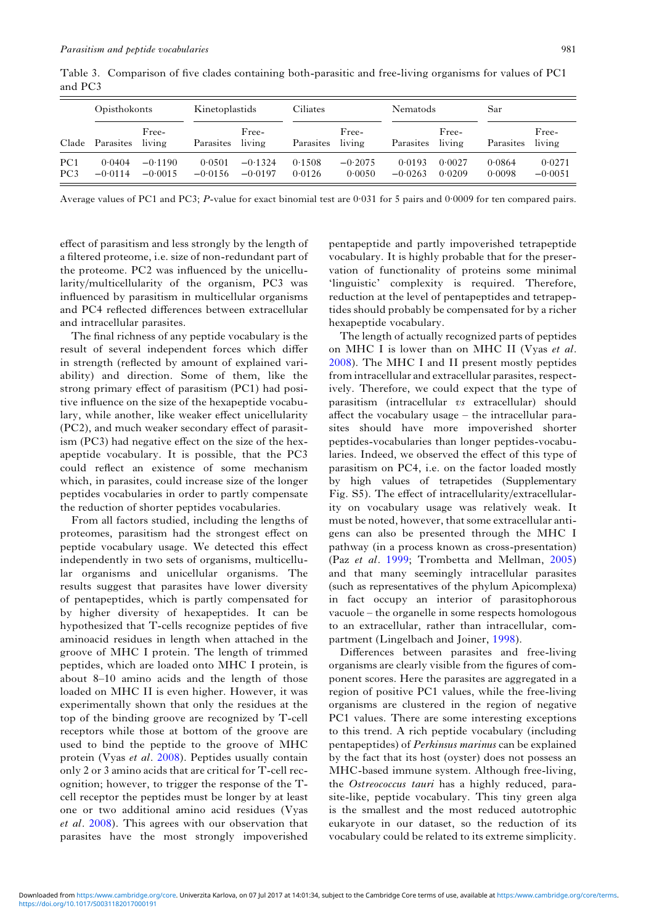|                                    | Opisthokonts        |                        | Kinetoplastids      |                        | Ciliates         |                     | <b>Nematods</b>     |                  | Sar              |                     |  |
|------------------------------------|---------------------|------------------------|---------------------|------------------------|------------------|---------------------|---------------------|------------------|------------------|---------------------|--|
| Clade                              | Parasites           | Free-<br>living        | Parasites           | Free-<br>living        | Parasites        | Free-<br>living     | Parasites           | Free-<br>living  | Parasites        | Free-<br>living     |  |
| PC <sub>1</sub><br>PC <sub>3</sub> | 0.0404<br>$-0.0114$ | $-0.1190$<br>$-0.0015$ | 0.0501<br>$-0.0156$ | $-0.1324$<br>$-0.0197$ | 0.1508<br>0.0126 | $-0.2075$<br>0.0050 | 0.0193<br>$-0.0263$ | 0.0027<br>0.0209 | 0.0864<br>0.0098 | 0.0271<br>$-0.0051$ |  |

<span id="page-6-0"></span>Table 3. Comparison of five clades containing both-parasitic and free-living organisms for values of PC1 and PC3

Average values of PC1 and PC3; P-value for exact binomial test are 0·031 for 5 pairs and 0·0009 for ten compared pairs.

effect of parasitism and less strongly by the length of a filtered proteome, i.e. size of non-redundant part of the proteome. PC2 was influenced by the unicellularity/multicellularity of the organism, PC3 was influenced by parasitism in multicellular organisms and PC4 reflected differences between extracellular and intracellular parasites.

The final richness of any peptide vocabulary is the result of several independent forces which differ in strength (reflected by amount of explained variability) and direction. Some of them, like the strong primary effect of parasitism (PC1) had positive influence on the size of the hexapeptide vocabulary, while another, like weaker effect unicellularity (PC2), and much weaker secondary effect of parasitism (PC3) had negative effect on the size of the hexapeptide vocabulary. It is possible, that the PC3 could reflect an existence of some mechanism which, in parasites, could increase size of the longer peptides vocabularies in order to partly compensate the reduction of shorter peptides vocabularies.

From all factors studied, including the lengths of proteomes, parasitism had the strongest effect on peptide vocabulary usage. We detected this effect independently in two sets of organisms, multicellular organisms and unicellular organisms. The results suggest that parasites have lower diversity of pentapeptides, which is partly compensated for by higher diversity of hexapeptides. It can be hypothesized that T-cells recognize peptides of five aminoacid residues in length when attached in the groove of MHC I protein. The length of trimmed peptides, which are loaded onto MHC I protein, is about 8–10 amino acids and the length of those loaded on MHC II is even higher. However, it was experimentally shown that only the residues at the top of the binding groove are recognized by T-cell receptors while those at bottom of the groove are used to bind the peptide to the groove of MHC protein (Vyas et al. [2008\)](#page-8-0). Peptides usually contain only 2 or 3 amino acids that are critical for T-cell recognition; however, to trigger the response of the Tcell receptor the peptides must be longer by at least one or two additional amino acid residues (Vyas et al. [2008\)](#page-8-0). This agrees with our observation that parasites have the most strongly impoverished

pentapeptide and partly impoverished tetrapeptide vocabulary. It is highly probable that for the preservation of functionality of proteins some minimal 'linguistic' complexity is required. Therefore, reduction at the level of pentapeptides and tetrapeptides should probably be compensated for by a richer hexapeptide vocabulary.

The length of actually recognized parts of peptides on MHC I is lower than on MHC II (Vyas et al. [2008](#page-8-0)). The MHC I and II present mostly peptides from intracellular and extracellular parasites, respectively. Therefore, we could expect that the type of parasitism (intracellular vs extracellular) should affect the vocabulary usage – the intracellular parasites should have more impoverished shorter peptides-vocabularies than longer peptides-vocabularies. Indeed, we observed the effect of this type of parasitism on PC4, i.e. on the factor loaded mostly by high values of tetrapetides (Supplementary Fig. S5). The effect of intracellularity/extracellularity on vocabulary usage was relatively weak. It must be noted, however, that some extracellular antigens can also be presented through the MHC I pathway (in a process known as cross-presentation) (Paz et al. [1999](#page-7-0); Trombetta and Mellman, [2005\)](#page-8-0) and that many seemingly intracellular parasites (such as representatives of the phylum Apicomplexa) in fact occupy an interior of parasitophorous vacuole – the organelle in some respects homologous to an extracellular, rather than intracellular, compartment (Lingelbach and Joiner, [1998](#page-7-0)).

Differences between parasites and free-living organisms are clearly visible from the figures of component scores. Here the parasites are aggregated in a region of positive PC1 values, while the free-living organisms are clustered in the region of negative PC1 values. There are some interesting exceptions to this trend. A rich peptide vocabulary (including pentapeptides) of Perkinsus marinus can be explained by the fact that its host (oyster) does not possess an MHC-based immune system. Although free-living, the Ostreococcus tauri has a highly reduced, parasite-like, peptide vocabulary. This tiny green alga is the smallest and the most reduced autotrophic eukaryote in our dataset, so the reduction of its vocabulary could be related to its extreme simplicity.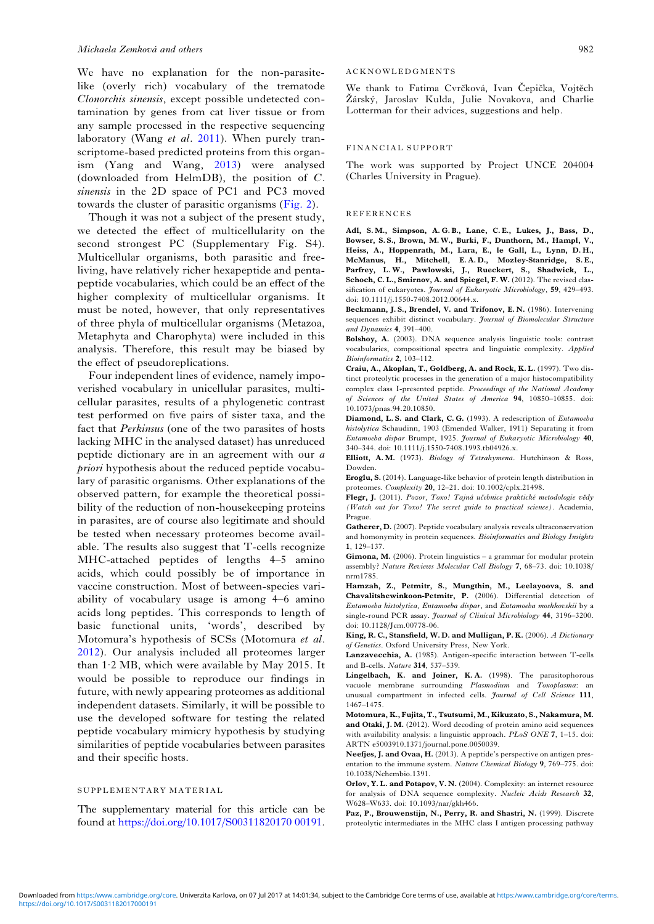<span id="page-7-0"></span>We have no explanation for the non-parasitelike (overly rich) vocabulary of the trematode Clonorchis sinensis, except possible undetected contamination by genes from cat liver tissue or from any sample processed in the respective sequencing laboratory (Wang et al. [2011\)](#page-8-0). When purely transcriptome-based predicted proteins from this organism (Yang and Wang, [2013\)](#page-8-0) were analysed (downloaded from HelmDB), the position of C. sinensis in the 2D space of PC1 and PC3 moved towards the cluster of parasitic organisms ([Fig. 2\)](#page-5-0).

Though it was not a subject of the present study, we detected the effect of multicellularity on the second strongest PC (Supplementary Fig. S4). Multicellular organisms, both parasitic and freeliving, have relatively richer hexapeptide and pentapeptide vocabularies, which could be an effect of the higher complexity of multicellular organisms. It must be noted, however, that only representatives of three phyla of multicellular organisms (Metazoa, Metaphyta and Charophyta) were included in this analysis. Therefore, this result may be biased by the effect of pseudoreplications.

Four independent lines of evidence, namely impoverished vocabulary in unicellular parasites, multicellular parasites, results of a phylogenetic contrast test performed on five pairs of sister taxa, and the fact that Perkinsus (one of the two parasites of hosts lacking MHC in the analysed dataset) has unreduced peptide dictionary are in an agreement with our a priori hypothesis about the reduced peptide vocabulary of parasitic organisms. Other explanations of the observed pattern, for example the theoretical possibility of the reduction of non-housekeeping proteins in parasites, are of course also legitimate and should be tested when necessary proteomes become available. The results also suggest that T-cells recognize MHC-attached peptides of lengths 4–5 amino acids, which could possibly be of importance in vaccine construction. Most of between-species variability of vocabulary usage is among 4–6 amino acids long peptides. This corresponds to length of basic functional units, 'words', described by Motomura's hypothesis of SCSs (Motomura et al. 2012). Our analysis included all proteomes larger than 1·2 MB, which were available by May 2015. It would be possible to reproduce our findings in future, with newly appearing proteomes as additional independent datasets. Similarly, it will be possible to use the developed software for testing the related peptide vocabulary mimicry hypothesis by studying similarities of peptide vocabularies between parasites and their specific hosts.

#### SUPPLEMENTARY MATERIAL

The supplementary material for this article can be found at [https://doi.org/10.1017/S00311820170 00191](https://doi.org/10.1017/S0031182017000191).

#### ACKNOWLEDGMENTS

We thank to Fatima Cvrčková, Ivan Čepička, Vojtěch Žárský, Jaroslav Kulda, Julie Novakova, and Charlie Lotterman for their advices, suggestions and help.

#### FINANCIAL SUPPORT

The work was supported by Project UNCE 204004 (Charles University in Prague).

#### REFERENCES

Adl, S. M., Simpson, A. G. B., Lane, C. E., Lukes, J., Bass, D., Bowser, S. S., Brown, M. W., Burki, F., Dunthorn, M., Hampl, V., Heiss, A., Hoppenrath, M., Lara, E., le Gall, L., Lynn, D. H., McManus, H., Mitchell, E. A. D., Mozley-Stanridge, S. E., Parfrey, L. W., Pawlowski, J., Rueckert, S., Shadwick, L., Schoch, C. L., Smirnov, A. and Spiegel, F. W. (2012). The revised classification of eukaryotes. Journal of Eukaryotic Microbiology, 59, 429-493. doi: 10.1111/j.1550-7408.2012.00644.x.

Beckmann, J. S., Brendel, V. and Trifonov, E. N. (1986). Intervening sequences exhibit distinct vocabulary. Journal of Biomolecular Structure and Dynamics 4, 391–400.

Bolshoy, A. (2003). DNA sequence analysis linguistic tools: contrast vocabularies, compositional spectra and linguistic complexity. Applied Bioinformatics 2, 103–112.

Craiu, A., Akoplan, T., Goldberg, A. and Rock, K. L. (1997). Two distinct proteolytic processes in the generation of a major histocompatibility complex class I-presented peptide. Proceedings of the National Academy of Sciences of the United States of America 94, 10850–10855. doi: 10.1073/pnas.94.20.10850.

Diamond, L.S. and Clark, C.G. (1993). A redescription of *Entamoeba* histolytica Schaudinn, 1903 (Emended Walker, 1911) Separating it from Entamoeba dispar Brumpt, 1925. Journal of Eukaryotic Microbiology 40, 340–344. doi: 10.1111/j.1550-7408.1993.tb04926.x.

Elliott, A. M. (1973). Biology of Tetrahymena. Hutchinson & Ross, Dowden.

Eroglu, S. (2014). Language-like behavior of protein length distribution in proteomes. Complexity 20, 12–21. doi: 10.1002/cplx.21498.

Flegr, J. (2011). Pozor, Toxo! Tajná učebnice praktické metodologie vědy (Watch out for Toxo! The secret guide to practical science). Academia, Prague.

Gatherer, D. (2007). Peptide vocabulary analysis reveals ultraconservation and homonymity in protein sequences. Bioinformatics and Biology Insights 1, 129–137.

Gimona, M. (2006). Protein linguistics – a grammar for modular protein assembly? Nature Reviews Molecular Cell Biology 7, 68–73. doi: 10.1038/ nrm1785.

Hamzah, Z., Petmitr, S., Mungthin, M., Leelayoova, S. and Chavalitshewinkoon-Petmitr, P. (2006). Differential detection of Entamoeba histolytica, Entamoeba dispar, and Entamoeba moshkovskii by a single-round PCR assay. *Journal of Clinical Microbiology* 44, 3196-3200. doi: 10.1128/Jcm.00778-06.

King, R. C., Stansfield, W. D. and Mulligan, P. K. (2006). A Dictionary of Genetics. Oxford University Press, New York.

Lanzavecchia, A. (1985). Antigen-specific interaction between T-cells and B-cells. Nature 314, 537–539.

Lingelbach, K. and Joiner, K.A. (1998). The parasitophorous vacuole membrane surrounding Plasmodium and Toxoplasma: an unusual compartment in infected cells. Journal of Cell Science 111, 1467–1475.

Motomura, K., Fujita, T., Tsutsumi, M., Kikuzato, S., Nakamura, M. and Otaki, J. M. (2012). Word decoding of protein amino acid sequences with availability analysis: a linguistic approach. PLoS ONE 7, 1–15. doi: ARTN e5003910.1371/journal.pone.0050039.

Neefjes, J. and Ovaa, H. (2013). A peptide's perspective on antigen presentation to the immune system. Nature Chemical Biology 9, 769–775. doi: 10.1038/Nchembio.1391.

Orlov, Y. L. and Potapov, V. N. (2004). Complexity: an internet resource for analysis of DNA sequence complexity. Nucleic Acids Research 32, W628–W633. doi: 10.1093/nar/gkh466.

Paz, P., Brouwenstijn, N., Perry, R. and Shastri, N. (1999). Discrete proteolytic intermediates in the MHC class I antigen processing pathway